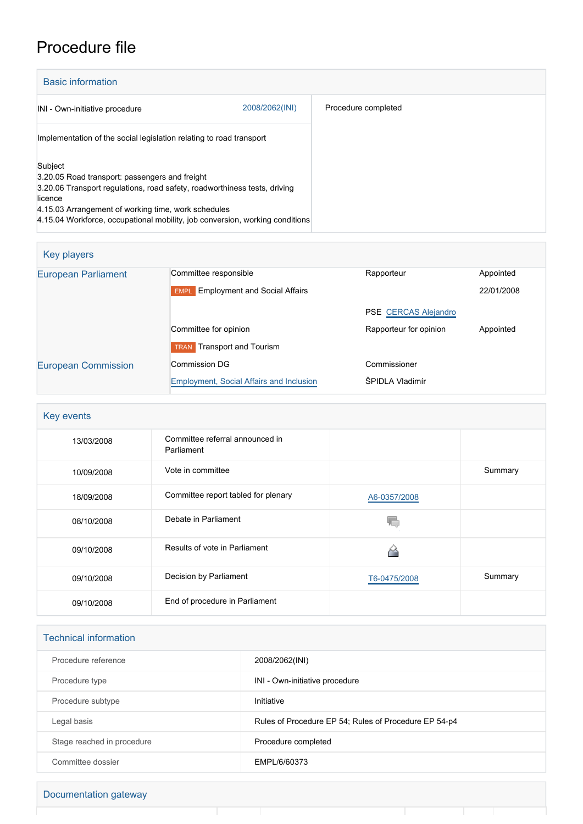## Procedure file

| <b>Basic information</b>                                                                                                            |                |                     |  |  |
|-------------------------------------------------------------------------------------------------------------------------------------|----------------|---------------------|--|--|
| INI - Own-initiative procedure                                                                                                      | 2008/2062(INI) | Procedure completed |  |  |
| Implementation of the social legislation relating to road transport                                                                 |                |                     |  |  |
| Subject<br>3.20.05 Road transport: passengers and freight                                                                           |                |                     |  |  |
| 3.20.06 Transport regulations, road safety, roadworthiness tests, driving<br>licence                                                |                |                     |  |  |
| 4.15.03 Arrangement of working time, work schedules<br>4.15.04 Workforce, occupational mobility, job conversion, working conditions |                |                     |  |  |

| Key players                |                                                     |                             |            |  |
|----------------------------|-----------------------------------------------------|-----------------------------|------------|--|
| <b>European Parliament</b> | Committee responsible                               | Rapporteur                  | Appointed  |  |
|                            | <b>Employment and Social Affairs</b><br><b>EMPL</b> |                             | 22/01/2008 |  |
|                            |                                                     | <b>PSE CERCAS Alejandro</b> |            |  |
|                            | Committee for opinion                               | Rapporteur for opinion      | Appointed  |  |
|                            | <b>TRAN</b> Transport and Tourism                   |                             |            |  |
| <b>European Commission</b> | Commission DG<br>Commissioner                       |                             |            |  |
|                            | <b>Employment, Social Affairs and Inclusion</b>     | ŠPIDLA Vladimír             |            |  |

| Key events |                                               |              |         |
|------------|-----------------------------------------------|--------------|---------|
| 13/03/2008 | Committee referral announced in<br>Parliament |              |         |
| 10/09/2008 | Vote in committee                             |              | Summary |
| 18/09/2008 | Committee report tabled for plenary           | A6-0357/2008 |         |
| 08/10/2008 | Debate in Parliament                          |              |         |
| 09/10/2008 | Results of vote in Parliament                 |              |         |
| 09/10/2008 | Decision by Parliament                        | T6-0475/2008 | Summary |
| 09/10/2008 | End of procedure in Parliament                |              |         |

| <b>Technical information</b> |                                                       |  |
|------------------------------|-------------------------------------------------------|--|
| Procedure reference          | 2008/2062(INI)                                        |  |
| Procedure type               | INI - Own-initiative procedure                        |  |
| Procedure subtype            | Initiative                                            |  |
| Legal basis                  | Rules of Procedure EP 54; Rules of Procedure EP 54-p4 |  |
| Stage reached in procedure   | Procedure completed                                   |  |
| Committee dossier            | EMPL/6/60373                                          |  |

T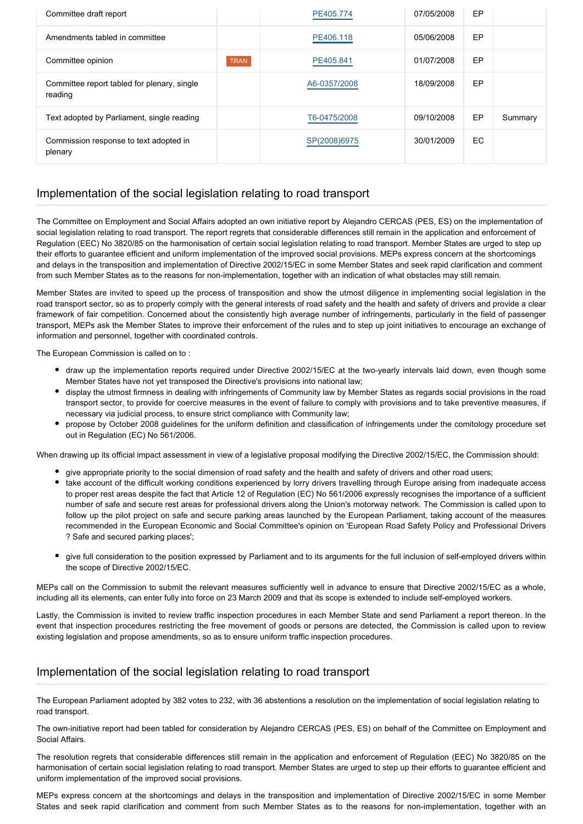| Committee draft report                                 |             | PE405.774    | 07/05/2008 | EP  |         |
|--------------------------------------------------------|-------------|--------------|------------|-----|---------|
| Amendments tabled in committee                         |             | PE406.118    | 05/06/2008 | EP  |         |
| Committee opinion                                      | <b>TRAN</b> | PE405.841    | 01/07/2008 | EP  |         |
| Committee report tabled for plenary, single<br>reading |             | A6-0357/2008 | 18/09/2008 | EP  |         |
| Text adopted by Parliament, single reading             |             | T6-0475/2008 | 09/10/2008 | EP  | Summary |
| Commission response to text adopted in<br>plenary      |             | SP(2008)6975 | 30/01/2009 | EC. |         |

## Implementation of the social legislation relating to road transport

The Committee on Employment and Social Affairs adopted an own initiative report by Alejandro CERCAS (PES, ES) on the implementation of social legislation relating to road transport. The report regrets that considerable differences still remain in the application and enforcement of Regulation (EEC) No 3820/85 on the harmonisation of certain social legislation relating to road transport. Member States are urged to step up their efforts to guarantee efficient and uniform implementation of the improved social provisions. MEPs express concern at the shortcomings and delays in the transposition and implementation of Directive 2002/15/EC in some Member States and seek rapid clarification and comment from such Member States as to the reasons for non-implementation, together with an indication of what obstacles may still remain.

Member States are invited to speed up the process of transposition and show the utmost diligence in implementing social legislation in the road transport sector, so as to properly comply with the general interests of road safety and the health and safety of drivers and provide a clear framework of fair competition. Concerned about the consistently high average number of infringements, particularly in the field of passenger transport, MEPs ask the Member States to improve their enforcement of the rules and to step up joint initiatives to encourage an exchange of information and personnel, together with coordinated controls.

The European Commission is called on to :

- draw up the implementation reports required under Directive 2002/15/EC at the two-yearly intervals laid down, even though some Member States have not yet transposed the Directive's provisions into national law;
- display the utmost firmness in dealing with infringements of Community law by Member States as regards social provisions in the road transport sector, to provide for coercive measures in the event of failure to comply with provisions and to take preventive measures, if necessary via judicial process, to ensure strict compliance with Community law;
- propose by October 2008 guidelines for the uniform definition and classification of infringements under the comitology procedure set out in Regulation (EC) No 561/2006.

When drawing up its official impact assessment in view of a legislative proposal modifying the Directive 2002/15/EC, the Commission should:

- give appropriate priority to the social dimension of road safety and the health and safety of drivers and other road users;
- take account of the difficult working conditions experienced by lorry drivers travelling through Europe arising from inadequate access to proper rest areas despite the fact that Article 12 of Regulation (EC) No 561/2006 expressly recognises the importance of a sufficient number of safe and secure rest areas for professional drivers along the Union's motorway network. The Commission is called upon to follow up the pilot project on safe and secure parking areas launched by the European Parliament, taking account of the measures recommended in the European Economic and Social Committee's opinion on 'European Road Safety Policy and Professional Drivers ? Safe and secured parking places';
- give full consideration to the position expressed by Parliament and to its arguments for the full inclusion of self-employed drivers within the scope of Directive 2002/15/EC.

MEPs call on the Commission to submit the relevant measures sufficiently well in advance to ensure that Directive 2002/15/EC as a whole, including all its elements, can enter fully into force on 23 March 2009 and that its scope is extended to include self-employed workers.

Lastly, the Commission is invited to review traffic inspection procedures in each Member State and send Parliament a report thereon. In the event that inspection procedures restricting the free movement of goods or persons are detected, the Commission is called upon to review existing legislation and propose amendments, so as to ensure uniform traffic inspection procedures.

## Implementation of the social legislation relating to road transport

The European Parliament adopted by 382 votes to 232, with 36 abstentions a resolution on the implementation of social legislation relating to road transport.

The own-initiative report had been tabled for consideration by Alejandro CERCAS (PES, ES) on behalf of the Committee on Employment and Social Affairs.

The resolution regrets that considerable differences still remain in the application and enforcement of Regulation (EEC) No 3820/85 on the harmonisation of certain social legislation relating to road transport. Member States are urged to step up their efforts to guarantee efficient and uniform implementation of the improved social provisions.

MEPs express concern at the shortcomings and delays in the transposition and implementation of Directive 2002/15/EC in some Member States and seek rapid clarification and comment from such Member States as to the reasons for non-implementation, together with an